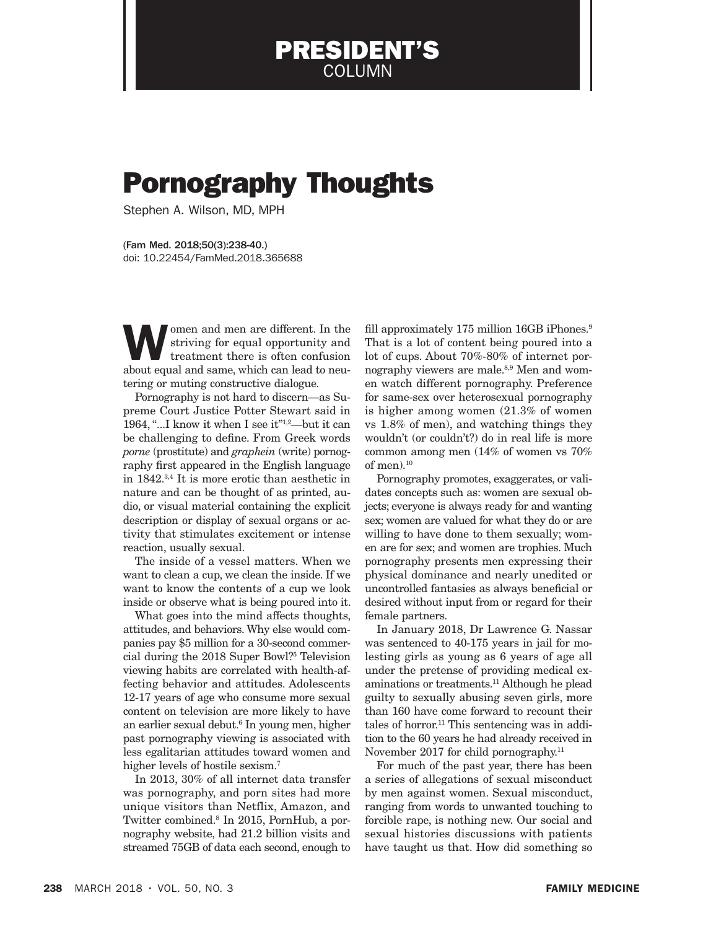## Pornography Thoughts

PRESIDENT'S COLUMN

Stephen A. Wilson, MD, MPH

(Fam Med. 2018;50(3):238-40.) doi: 10.22454/FamMed.2018.365688

women and men are different. In the striving for equal opportunity and treatment there is often confusion about gould and same which can lead to nou striving for equal opportunity and about equal and same, which can lead to neutering or muting constructive dialogue.

Pornography is not hard to discern—as Supreme Court Justice Potter Stewart said in 1964, "...I know it when I see it"1,2—but it can be challenging to define. From Greek words *porne* (prostitute) and *graphein* (write) pornography first appeared in the English language in 1842.3,4 It is more erotic than aesthetic in nature and can be thought of as printed, audio, or visual material containing the explicit description or display of sexual organs or activity that stimulates excitement or intense reaction, usually sexual.

The inside of a vessel matters. When we want to clean a cup, we clean the inside. If we want to know the contents of a cup we look inside or observe what is being poured into it.

What goes into the mind affects thoughts, attitudes, and behaviors. Why else would companies pay \$5 million for a 30-second commercial during the 2018 Super Bowl?5 Television viewing habits are correlated with health-affecting behavior and attitudes. Adolescents 12-17 years of age who consume more sexual content on television are more likely to have an earlier sexual debut.6 In young men, higher past pornography viewing is associated with less egalitarian attitudes toward women and higher levels of hostile sexism.<sup>7</sup>

In 2013, 30% of all internet data transfer was pornography, and porn sites had more unique visitors than Netflix, Amazon, and Twitter combined.8 In 2015, PornHub, a pornography website, had 21.2 billion visits and streamed 75GB of data each second, enough to

fill approximately 175 million 16GB iPhones.<sup>9</sup> That is a lot of content being poured into a lot of cups. About 70%-80% of internet pornography viewers are male.<sup>8,9</sup> Men and women watch different pornography. Preference for same-sex over heterosexual pornography is higher among women (21.3% of women vs 1.8% of men), and watching things they wouldn't (or couldn't?) do in real life is more common among men (14% of women vs 70% of men).10

Pornography promotes, exaggerates, or validates concepts such as: women are sexual objects; everyone is always ready for and wanting sex; women are valued for what they do or are willing to have done to them sexually; women are for sex; and women are trophies. Much pornography presents men expressing their physical dominance and nearly unedited or uncontrolled fantasies as always beneficial or desired without input from or regard for their female partners.

In January 2018, Dr Lawrence G. Nassar was sentenced to 40-175 years in jail for molesting girls as young as 6 years of age all under the pretense of providing medical examinations or treatments.11 Although he plead guilty to sexually abusing seven girls, more than 160 have come forward to recount their tales of horror.<sup>11</sup> This sentencing was in addition to the 60 years he had already received in November 2017 for child pornography.<sup>11</sup>

For much of the past year, there has been a series of allegations of sexual misconduct by men against women. Sexual misconduct, ranging from words to unwanted touching to forcible rape, is nothing new. Our social and sexual histories discussions with patients have taught us that. How did something so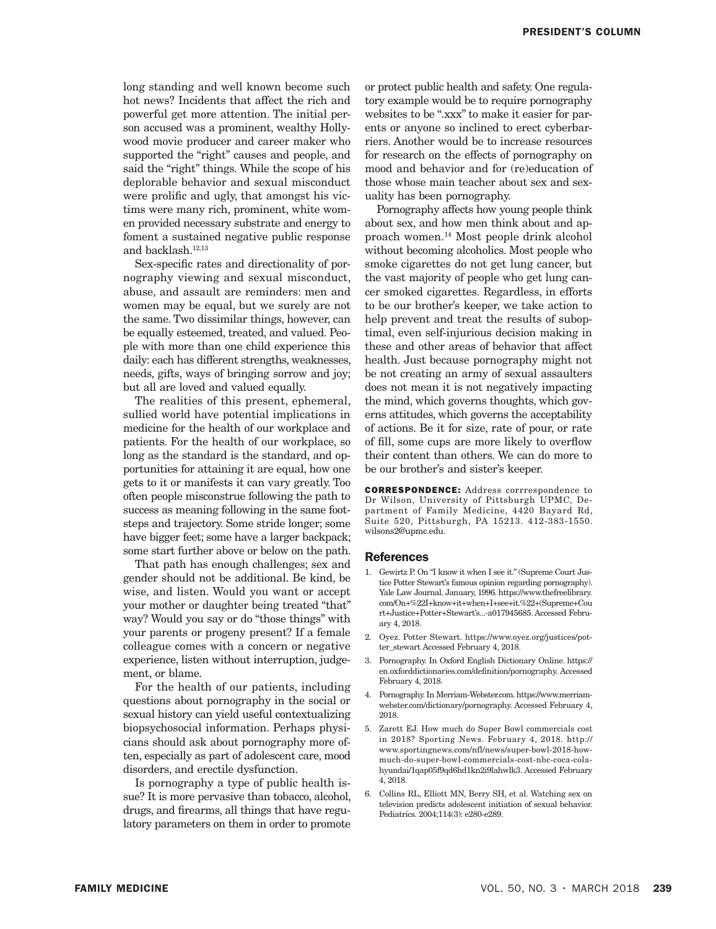long standing and well known become such hot news? Incidents that affect the rich and powerful get more attention. The initial person accused was a prominent, wealthy Hollywood movie producer and career maker who supported the "right" causes and people, and said the "right" things. While the scope of his deplorable behavior and sexual misconduct were prolific and ugly, that amongst his victims were many rich, prominent, white women provided necessary substrate and energy to foment a sustained negative public response and backlash.12,13

Sex-specific rates and directionality of pornography viewing and sexual misconduct, abuse, and assault are reminders: men and women may be equal, but we surely are not the same. Two dissimilar things, however, can be equally esteemed, treated, and valued. People with more than one child experience this daily: each has different strengths, weaknesses, needs, gifts, ways of bringing sorrow and joy; but all are loved and valued equally.

The realities of this present, ephemeral, sullied world have potential implications in medicine for the health of our workplace and patients. For the health of our workplace, so long as the standard is the standard, and opportunities for attaining it are equal, how one gets to it or manifests it can vary greatly. Too often people misconstrue following the path to success as meaning following in the same footsteps and trajectory. Some stride longer; some have bigger feet; some have a larger backpack; some start further above or below on the path.

That path has enough challenges; sex and gender should not be additional. Be kind, be wise, and listen. Would you want or accept your mother or daughter being treated "that" way? Would you say or do "those things" with your parents or progeny present? If a female colleague comes with a concern or negative experience, listen without interruption, judgement, or blame.

For the health of our patients, including questions about pornography in the social or sexual history can yield useful contextualizing biopsychosocial information. Perhaps physicians should ask about pornography more often, especially as part of adolescent care, mood disorders, and erectile dysfunction.

Is pornography a type of public health issue? It is more pervasive than tobacco, alcohol, drugs, and firearms, all things that have regulatory parameters on them in order to promote

or protect public health and safety. One regulatory example would be to require pornography websites to be ".xxx" to make it easier for parents or anyone so inclined to erect cyberbarriers. Another would be to increase resources for research on the effects of pornography on mood and behavior and for (re)education of those whose main teacher about sex and sexuality has been pornography.

Pornography affects how young people think about sex, and how men think about and approach women.14 Most people drink alcohol without becoming alcoholics. Most people who smoke cigarettes do not get lung cancer, but the vast majority of people who get lung cancer smoked cigarettes. Regardless, in efforts to be our brother's keeper, we take action to help prevent and treat the results of suboptimal, even self-injurious decision making in these and other areas of behavior that affect health. Just because pornography might not be not creating an army of sexual assaulters does not mean it is not negatively impacting the mind, which governs thoughts, which governs attitudes, which governs the acceptability of actions. Be it for size, rate of pour, or rate of fill, some cups are more likely to overflow their content than others. We can do more to be our brother's and sister's keeper.

CORRESPONDENCE: Address corrrespondence to Dr Wilson, University of Pittsburgh UPMC, Department of Family Medicine, 4420 Bayard Rd, Suite 520, Pittsburgh, PA 15213. 412-383-1550. wilsons2@upmc.edu.

## References

- 1. Gewirtz P. On "I know it when I see it." (Supreme Court Justice Potter Stewart's famous opinion regarding pornography). Yale Law Journal. January, 1996. https://www.thefreelibrary. com/On+%22I+know+it+when+I+see+it.%22+(Supreme+Cou rt+Justice+Potter+Stewart's...-a017945685. Accessed February 4, 2018.
- 2. Oyez. Potter Stewart. https://www.oyez.org/justices/potter\_stewart Accessed February 4, 2018.
- 3. Pornography. In Oxford English Dictionary Online. https:// en.oxforddictionaries.com/definition/pornography. Accessed February 4, 2018.
- 4. Pornography. In Merriam-Webster.com. https://www.merriamwebster.com/dictionary/pornography. Accessed February 4, 2018.
- 5. Zarett EJ. How much do Super Bowl commercials cost in 2018? Sporting News. February 4, 2018. http:// www.sportingnews.com/nfl/news/super-bowl-2018-howmuch-do-super-bowl-commercials-cost-nbc-coca-colahyundai/1qap05f9qd6hd1kn2i9lahwlk3. Accessed February 4, 2018.
- 6. Collins RL, Elliott MN, Berry SH, et al. Watching sex on television predicts adolescent initiation of sexual behavior. Pediatrics. 2004;114(3): e280-e289.